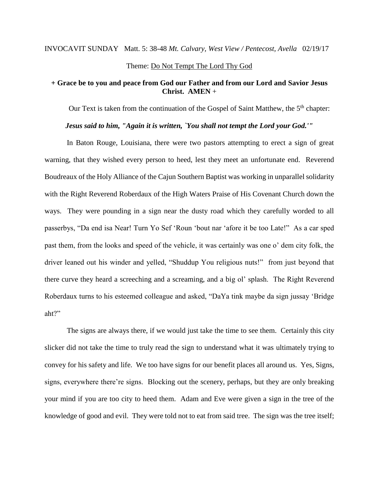# INVOCAVIT SUNDAY Matt. 5: 38-48 *Mt. Calvary, West View / Pentecost, Avella* 02/19/17

# Theme: Do Not Tempt The Lord Thy God

## **+ Grace be to you and peace from God our Father and from our Lord and Savior Jesus Christ. AMEN** +

Our Text is taken from the continuation of the Gospel of Saint Matthew, the 5<sup>th</sup> chapter:

#### *Jesus said to him, "Again it is written, `You shall not tempt the Lord your God.'"*

In Baton Rouge, Louisiana, there were two pastors attempting to erect a sign of great warning, that they wished every person to heed, lest they meet an unfortunate end. Reverend Boudreaux of the Holy Alliance of the Cajun Southern Baptist was working in unparallel solidarity with the Right Reverend Roberdaux of the High Waters Praise of His Covenant Church down the ways. They were pounding in a sign near the dusty road which they carefully worded to all passerbys, "Da end isa Near! Turn Yo Sef 'Roun 'bout nar 'afore it be too Late!" As a car sped past them, from the looks and speed of the vehicle, it was certainly was one o' dem city folk, the driver leaned out his winder and yelled, "Shuddup You religious nuts!" from just beyond that there curve they heard a screeching and a screaming, and a big ol' splash. The Right Reverend Roberdaux turns to his esteemed colleague and asked, "DaYa tink maybe da sign jussay 'Bridge aht?"

The signs are always there, if we would just take the time to see them. Certainly this city slicker did not take the time to truly read the sign to understand what it was ultimately trying to convey for his safety and life. We too have signs for our benefit places all around us. Yes, Signs, signs, everywhere there're signs. Blocking out the scenery, perhaps, but they are only breaking your mind if you are too city to heed them. Adam and Eve were given a sign in the tree of the knowledge of good and evil. They were told not to eat from said tree. The sign was the tree itself;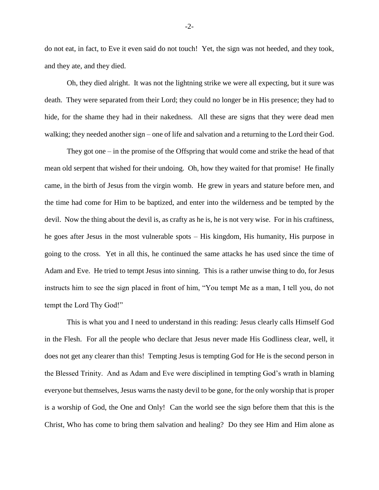do not eat, in fact, to Eve it even said do not touch! Yet, the sign was not heeded, and they took, and they ate, and they died.

Oh, they died alright. It was not the lightning strike we were all expecting, but it sure was death. They were separated from their Lord; they could no longer be in His presence; they had to hide, for the shame they had in their nakedness. All these are signs that they were dead men walking; they needed another sign – one of life and salvation and a returning to the Lord their God.

They got one – in the promise of the Offspring that would come and strike the head of that mean old serpent that wished for their undoing. Oh, how they waited for that promise! He finally came, in the birth of Jesus from the virgin womb. He grew in years and stature before men, and the time had come for Him to be baptized, and enter into the wilderness and be tempted by the devil. Now the thing about the devil is, as crafty as he is, he is not very wise. For in his craftiness, he goes after Jesus in the most vulnerable spots – His kingdom, His humanity, His purpose in going to the cross. Yet in all this, he continued the same attacks he has used since the time of Adam and Eve. He tried to tempt Jesus into sinning. This is a rather unwise thing to do, for Jesus instructs him to see the sign placed in front of him, "You tempt Me as a man, I tell you, do not tempt the Lord Thy God!"

This is what you and I need to understand in this reading: Jesus clearly calls Himself God in the Flesh. For all the people who declare that Jesus never made His Godliness clear, well, it does not get any clearer than this! Tempting Jesus is tempting God for He is the second person in the Blessed Trinity. And as Adam and Eve were disciplined in tempting God's wrath in blaming everyone but themselves, Jesus warns the nasty devil to be gone, for the only worship that is proper is a worship of God, the One and Only! Can the world see the sign before them that this is the Christ, Who has come to bring them salvation and healing? Do they see Him and Him alone as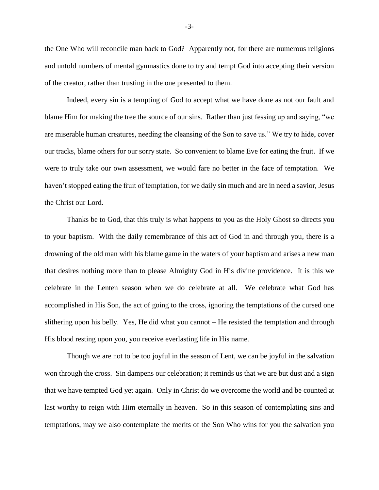the One Who will reconcile man back to God? Apparently not, for there are numerous religions and untold numbers of mental gymnastics done to try and tempt God into accepting their version of the creator, rather than trusting in the one presented to them.

Indeed, every sin is a tempting of God to accept what we have done as not our fault and blame Him for making the tree the source of our sins. Rather than just fessing up and saying, "we are miserable human creatures, needing the cleansing of the Son to save us." We try to hide, cover our tracks, blame others for our sorry state. So convenient to blame Eve for eating the fruit. If we were to truly take our own assessment, we would fare no better in the face of temptation. We haven't stopped eating the fruit of temptation, for we daily sin much and are in need a savior, Jesus the Christ our Lord.

Thanks be to God, that this truly is what happens to you as the Holy Ghost so directs you to your baptism. With the daily remembrance of this act of God in and through you, there is a drowning of the old man with his blame game in the waters of your baptism and arises a new man that desires nothing more than to please Almighty God in His divine providence. It is this we celebrate in the Lenten season when we do celebrate at all. We celebrate what God has accomplished in His Son, the act of going to the cross, ignoring the temptations of the cursed one slithering upon his belly. Yes, He did what you cannot – He resisted the temptation and through His blood resting upon you, you receive everlasting life in His name.

Though we are not to be too joyful in the season of Lent, we can be joyful in the salvation won through the cross. Sin dampens our celebration; it reminds us that we are but dust and a sign that we have tempted God yet again. Only in Christ do we overcome the world and be counted at last worthy to reign with Him eternally in heaven. So in this season of contemplating sins and temptations, may we also contemplate the merits of the Son Who wins for you the salvation you

-3-